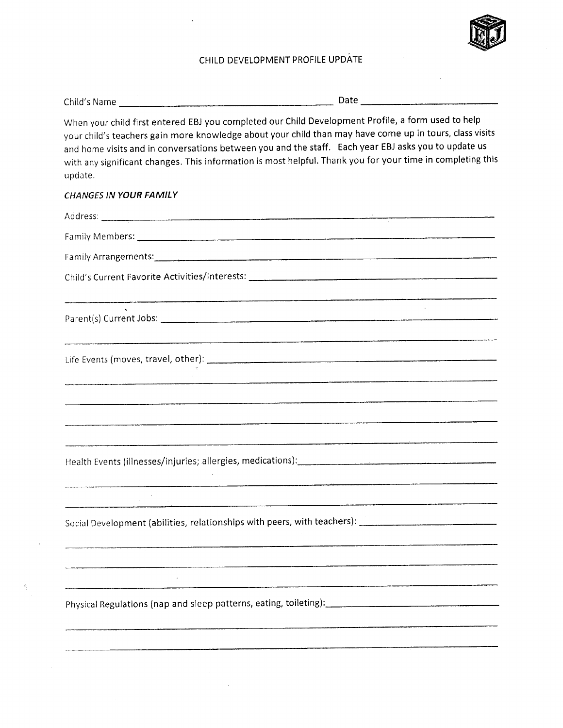## CHILD DEVELOPMENT PROFILE UPDATE

| Child's Name | Date |
|--------------|------|
|--------------|------|

When your child first entered EBJ you completed our Child Development Profile, a form used to help your child's teachers gain more knowledge about your child than may have come up in tours, class visits and home visits and in conversations between you and the staff. Each year EBJ asks you to update us with any significant changes. This information is most helpful. Thank you for your time in completing this update.

## CHANGES IN YOUR FAMILY

| Health Events (illnesses/injuries; allergies, medications): [14] The alternative and the set of the set of the                           |
|------------------------------------------------------------------------------------------------------------------------------------------|
| .<br>1980 - Johann Marie Marie March de Gregorius Laure I (1980 - 1980), france de la marie Marie III (1980 - 1980                       |
| Social Development (abilities, relationships with peers, with teachers): ___________________________                                     |
|                                                                                                                                          |
| Physical Regulations (nap and sleep patterns, eating, toileting): [14] Physical Regulations (nap and sleep patterns, eating, toileting): |
|                                                                                                                                          |